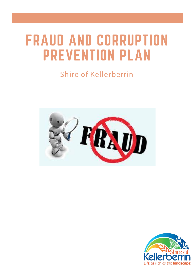# FRAUD AND CORRUPTION PREVENTION PLAN

# Shire of Kellerberrin



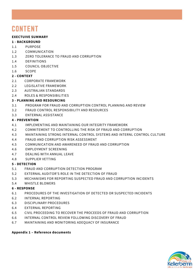# **CONTENT**

#### **EXECTUIVE SUMMARY**

#### **1 - BACKGROUND**

- 1.1 PURPOSE
- 1.2 COMMUNICATION
- 1.3 ZERO TOLERANCE TO FRAUD AND CORRUPTION
- 1.4 DEFINITIONS
- 1.5 COUNCIL OBJECTIVE
- 1.6 SCOPE

#### **2 - CONTEXT**

- 2.1 CORPORATE FRAMEWORK
- 2.2 LEGISLATIVE FRAMEWORK
- 2.3 AUSTRALIAN STANDARDS
- 2.4 ROLES & RESPONSIBILITIES

#### **3 - PLANNING AND RESOURCING**

- 3.1 PROGRAM FOR FRAUD AND CORRUPTION CONTROL PLANNING AND REVIEW
- 3.2 FRAUD CONTROL RESPONSIBILITY AND RESOURCES
- 3.3 ENTERNAL ASSISTANCE

#### **4 - PREVENTION**

- 4.1 IMPLEMENTING AND MAINTAINING OUR INTEGRITY FRAMEWORK
- 4.2 COMMITEMENT TO CONTROLLING THE RISK OF FRAUD AND CORRUPTION
- 4.3 MAINTAINING STRONG INTERNAL CONTROL SYSTEMS AND INTERNL CONTROL CULTURE
- 4.4 FRAUD AND CORRUPTION RISK ASSESSMENT
- 4.5 COMMUNICATION AND AWARENEED OF FRAUD AND CORRUPTION
- 4.6 EMPLOYMENT SCREENING
- 4.7 DEALING WITH ANNUAL LEAVE
- 4.8 SUPPLIER VETTING

#### **5 - DETECTION**

- 5.1 FRAUD AND CORRUPTION DETECTION PROGRAM
- 5.2 EXTERNAL AUDITOR'S ROLE IN THE DETECTION OF FRAUD
- 5.3 MECHANISMS FOR REPORTING SUSPECTED FRAUD AND CORRUPTION INCIDENTS
- 5.4 WHISTLE BLOWERS

#### **6 - RESPONSE**

- 6.1 PROCEDURES OF THE INVESTIGATION OF DETECTED OR SUSPECTED INCIDENTS
- 6.2 INTERNAL REPORTING
- 6.3 DISCIPLINARY PROCEDURES
- 6.4 EXTERNAL REPORTING
- 6.5 CIVIL PROCEEDING TO RECOVER THE PROCEEDS OF FRAUD AND CORRUPTION
- 6.6 INTERNAL CONTROL REVIEW FOLLOWING DISCOVERY OF FRAUD
- 6.7 MAINTAINING AND MONITORING ADEQUACY OF INSURANCE

#### **Appendix 1 – Reference documents**

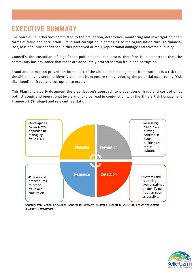## EXECUTIVE SUMMARY

The Shire of Kellerberrin's committed to the prevention, deterrence, monitoring and investigation of all forms of fraud and corruption. Fraud and corruption is damaging to the organisation through financial loss, loss of public confidence (either perceived or real), reputational damage and adverse publicity.

Council's the custodian of significant public funds and assets therefore it is important that the community has assurance that these are adequately protected from fraud and corruption.

Fraud and corruption prevention forms part of the Shire's risk management framework. It is a risk that the Shire actively seeks to identify and limit its exposure to, by reducing the potential opportunity (risk likelihood) for fraud and corruption to occur.

This Plan is to clearly document the organisation's approach to prevention of fraud and corruption at both strategic and operational levels and is to be read in conjunction with the Shire's Risk Management Framework (Strategy) and relevant legislation.



Adapted from Office of Auditor General for Western Australia, Report 5: 2019-20, Fraud Prevention in Local Government

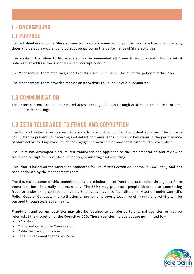### 1 - BACKGROUND 1.1 PURPOSE

Elected Members and the Shire administration are committed to policies and practices that prevent, deter and detect fraudulent and corrupt behaviour in the performance of Shire activities.

The Western Australian Auditor-General has recommended all Councils adopt specific fraud control policies that address the risk of fraud and corrupt conduct.

The Management Team monitors, reports and guides the implementation of the policy and this Plan.

The Management Team provides reports on its activity to Council's Audit Committee.

#### 1.2 COMMUNICATION

This Plans contents are communicated across the organisation through articles on the Shire's Intranet site and team meetings.

#### 1.3 ZERO TOLERANCE TO FRAUD AND CORRUPTION

The Shire of Kellerberrin has zero tolerance for corrupt conduct or fraudulent activities. The Shire is committed to preventing, deterring and detecting fraudulent and corrupt behaviour in the performance of Shire activities. Employees must not engage in practices that may constitute fraud or corruption.

The Shire has developed a structured framework and approach to the implementation and review of fraud and corruption prevention, detection, monitoring and reporting.

This Plan is based on the Australian Standards for *Fraud and Corruption Control (AS8001-2008)* and has been endorsed by the Management Team.

The desired outcome of this commitment is the elimination of fraud and corruption throughout Shire operations both internally and externally. The Shire may prosecute people identified as committing fraud or undertaking corrupt behaviour. Employees may also face disciplinary action under Council's Policy Code of Conduct, and restitution of money or property lost through fraudulent activity will be pursued through legislative means.

Fraudulent and corrupt activities may also be required to be referred to external agencies, or may be referred at the discretion of the Council or CEO. These agencies include but are not limited to –

- WA Police
- Crime and Corruption Commission
- Public Sector Commission
- Local Government Standards Panel.

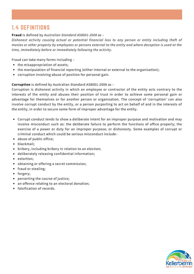### 1.4 DEFINITIONS

#### **Fraud** is defined by *Australian Standard AS8001-2008* as –

*Dishonest activity causing actual or potential financial loss to any person or entity including theft of* monies or other property by employees or persons external to the entity and where deception is used at the *time, immediately before or immediately following the activity.*

Fraud can take many forms including –

- the misappropriation of assets;
- the manipulation of financial reporting (either internal or external to the organisation);
- corruption involving abuse of position for personal gain.

#### **Corruption** is defined by Australian Standard AS8001-2008 as –

Corruption is dishonest activity in which an employee or contractor of the entity acts contrary to the interests of the entity and abuses their position of trust in order to achieve some personal gain or advantage for themselves or for another person or organisation. The concept of 'corruption' can also involve corrupt conduct by the entity, or a person purporting to act on behalf of and in the interests of the entity, in order to secure some form of improper advantage for the entity.

- Corrupt conduct tends to show a deliberate intent for an improper purpose and motivation and may involve misconduct such as: the deliberate failure to perform the functions of office properly; the exercise of a power or duty for an improper purpose; or dishonesty. Some examples of corrupt or criminal conduct which could be serious misconduct include–
- abuse of public office;
- blackmail;
- bribery, including bribery in relation to an election;
- deliberately releasing confidential information;
- extortion;
- obtaining or offering a secret commission;
- fraud or stealing;
- forgery;
- perverting the course of justice;
- an offence relating to an electoral donation;
- falsification of records.

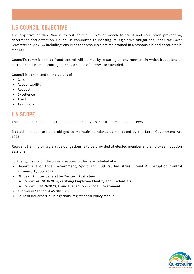### 1.5 COUNCIL OBJECTIVE

The objective of this Plan is to outline the Shire's approach to fraud and corruption prevention, deterrence and detection. Council is committed to meeting its legislative obligations under the *Local Government Act 1995* including: ensuring that resources are maintained in a responsible and accountable manner.

Council's commitment to fraud control will be met by ensuring an environment in which fraudulent or corrupt conduct is discouraged, and conflicts of interest are avoided.

Council is committed to the values of–

- Care
- Accountability
- Respect
- Excellence
- Trust
- Teamwork

### 1.6 SCOPE

This Plan applies to all elected members, employees, contractors and volunteers.

Elected members are also obliged to maintain standards as mandated by the Local Government Act 1995.

Relevant training on legislative obligations is to be provided at elected member and employee induction sessions.

Further guidance on the Shire's responsibilities are detailed at –

- Department of Local Government, Sport and Cultural Industries, Fraud & Corruption Control Framework, July 2015
- Office of Auditor General for Western Australia–
	- Report 24: 2018-2019, Verifying Employee Identity and Credentials
	- Report 5: 2019-2020, Fraud Prevention in Local Government
- Australian Standard AS 8001-2008
- Shire of Kellerberrin Delegations Register and Policy Manual

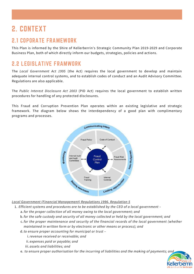# 2. CONTEXT

### 2.1 COPORATE FRAMEWORK

This Plan is informed by the Shire of Kellerberrin's Strategic Community Plan 2019-2029 and Corporate Business Plan, both of which directly inform our budgets, strategies, policies and actions.

### 2.2 LEGISLATIVE FRAMWORK

The *Local Government Act 1995* (the Act) requires the local government to develop and maintain adequate internal control systems, and to establish codes of conduct and an Audit Advisory Committee. Regulations are also applicable.

The *Public Interest Disclosure Act 2003* (PID Act) requires the local government to establish written procedures for handling of any protected disclosures.

This Fraud and Corruption Prevention Plan operates within an existing legislative and strategic framework. The diagram below shows the interdependency of a good plan with complimentary programs and processes.



*Local Government (Financial Management) Regulations 1996, Regulation 5*

*Efficient systems and procedures are to be established by the CEO of a local government –* 1.

*for the proper collection of all money owing to the local government; and* a.

- *for the safe custody and security of all money collected or held by the local government; and* b.
- *for the proper maintenance and security of the financial records of the local government (whether* c. *maintained in written form or by electronic or other means or process); and*

*to ensure proper accounting for municipal or trust –* d.

*revenue received or receivable; and* i.

*expenses paid or payable; and* ii.

- *assets and liabilities; and* iii.
- *to ensure proper authorisation for the incurring of liabilities and the making of payments; and* e.

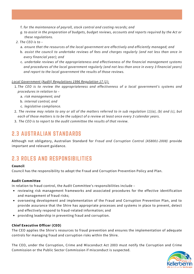- f. *for the maintenance of payroll, stock control and costing records; and*
- g. to assist in the preparation of budgets, budget reviews, accounts and reports required by the Act or *these regulations.*
- *2. The CEO is to –*
	- *ensure that the resources of the local government are effectively and efficiently managed; and* a.
	- *assist the council to undertake reviews of fees and charges regularly (and not less than once in* b. *every financial year); and*
	- *undertake reviews of the appropriateness and effectiveness of the financial management systems* c. *and procedures of the local government regularly (and not less than once in every 3 financial years) and report to the local government the results of those reviews.*

#### *Local Government (Audit) Regulations 1996 Regulation 17 (1):*

- *The CEO is to review the appropriateness and effectiveness of a local government's systems and* 1. *procedures in relation to –*
	- *risk management; and* a.
	- *internal control; and* b.
	- *legislative compliance.* c.
- 2. The review may relate to any or all of the matters referred to in sub regulation (1)(a), (b) and (c), but each of those matters is to be the subject of a review at least once every 3 calendar years.
- *The CEO is to report to the audit committee the results of that review.* 3.

### 2.3 AUSTRALIAN STANDARDS

Although not obligatory, Australian Standard for *Fraud and Corruption Control (AS8001-2008)* provide important and relevant guidance.

### 2.3 ROLES AND RESPONSIBILITIES

#### **Council**

Council has the responsibility to adopt the Fraud and Corruption Prevention Policy and Plan.

#### **Audit Committee**

In relation to fraud control, the Audit Committee's responsibilities include –

- reviewing risk management frameworks and associated procedures for the effective identification and management of fraud risks;
- overseeing development and implementation of the Fraud and Corruption Prevention Plan, and to provide assurance that the Shire has appropriate processes and systems in place to prevent, detect and effectively respond to fraud-related information; and
- providing leadership in preventing fraud and corruption.

#### **Chief Executive Officer (CEO)**

The CEO applies the Shire's resources to fraud prevention and ensures the implementation of adequate controls for managing fraud and corruption risks within the Shire.

The CEO, under the Corruption, Crime and Misconduct Act 2003 must notify the Corruption and Crime Commission or the Public Sector Commission if misconduct is suspected.

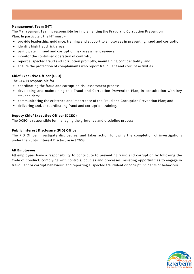#### **Management Team (MT)**

The Management Team is responsible for implementing the Fraud and Corruption Prevention Plan. In particular, the MT must –

- provide leadership, guidance, training and support to employees in preventing fraud and corruption;
- identify high fraud risk areas;
- participate in fraud and corruption risk assessment reviews;
- monitor the continued operation of controls;
- report suspected fraud and corruption promptly, maintaining confidentiality; and
- ensure the protection of complainants who report fraudulent and corrupt activities.

#### **Chief Executive Officer (CEO)**

The CEO is responsible for –

- coordinating the fraud and corruption risk assessment process;
- developing and maintaining this Fraud and Corruption Prevention Plan, in consultation with key stakeholders;
- communicating the existence and importance of the Fraud and Corruption Prevention Plan; and
- delivering and/or coordinating fraud and corruption training.

#### **Deputy Chief Executive Officer (DCEO)**

The DCEO is responsible for managing the grievance and discipline process.

#### **Public Interest Disclosure (PID) Officer**

The PID Officer investigate disclosures, and takes action following the completion of investigations under the Public Interest Disclosure Act 2003.

#### **All Employees**

All employees have a responsibility to contribute to preventing fraud and corruption by following the Code of Conduct, complying with controls, policies and processes; resisting opportunities to engage in fraudulent or corrupt behaviour; and reporting suspected fraudulent or corrupt incidents or behaviour.

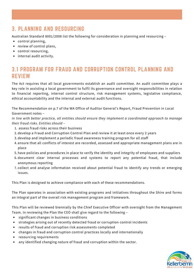### 3. PLANNING AND RESOURCING

Australian Standard 8001/2008 list the following for consideration in planning and resourcing –

- control planning,
- review of control plans,
- control resourcing,
- internal audit activity.

### 3.1 PROGRAM FOR FRAUD AND CORRUPTION CONTROL PLANNING AND **REVIEW**

The Act requires that all local governments establish an audit committee. An audit committee plays a key role in assisting a local government to fulfil its governance and oversight responsibilities in relation to financial reporting, internal control structure, risk management systems, legislative compliance, ethical accountability and the internal and external audit functions.

The Recommendation on p.7 of the WA Office of Auditor General's Report, Fraud Prevention in Local Government notes –

*In line with better practice, all entities should ensure they implement a coordinated approach to manage their fraud risks. Entities should –*

- 1. assess fraud risks across their business
- 2. develop a Fraud and Corruption Control Plan and review it at least once every 2 years
- 3. develop and implement a periodic fraud awareness training program for all staff
- 4. ensure that all conflicts of interest are recorded, assessed and appropriate management plans are in place
- 5. have policies and procedures in place to verify the identity and integrity of employees and suppliers
- 6.document clear internal processes and systems to report any potential fraud, that include anonymous reporting
- 7.collect and analyse information received about potential fraud to identify any trends or emerging issues.

This Plan is designed to achieve compliance with each of these recommendations.

The Plan operates in association with existing programs and initiatives throughout the Shire and forms an integral part of the overall risk management program and framework.

This Plan will be reviewed biennially by the Chief Executive Officer with oversight from the Management Team. In reviewing the Plan the CEO shall give regard to the following –

- significant changes in business conditions
- strategies arising out of recently detected fraud or corruption control incidents
- results of fraud and corruption risk assessments completed
- changes in fraud and corruption control practices locally and internationally
- resourcing requirements
- any identified changing nature of fraud and corruption within the sector.

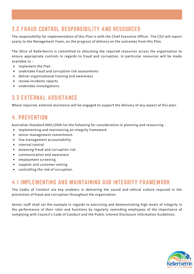### 3.2 FRAUD CONTROL RESPONSIBILITY AND RESOURCES

The responsibility for implementation of this Plan is with the Chief Executive Officer. The CEO will report yearly to the Management Team, on the progress of delivery on the outcomes from this Plan.

The Shire of Kellerberrin is committed to allocating the required resources across the organisation to ensure appropriate controls in regards to fraud and corruption. In particular resources will be made available to –

- implement the Plan
- undertake fraud and corruption risk assessments
- deliver organisational training and awareness
- review incidents reports
- undertake investigations.

### 3.3 EXTERNAL ASSISTANCE

Where required, external assistance will be engaged to support the delivery of any aspect of this plan.

#### 4. PREVENTION

Australian Standard 8001/2008 list the following for consideration in planning and resourcing –

- implementing and maintaining an integrity framework
- senior management commitment
- line management accountability
- internal control
- assessing fraud and corruption risk
- communication and awareness
- employment screening
- supplier and customer vetting
- controlling the risk of corruption.

#### 4.1 IMPLEMENTING AND MAINTAINING OUR INTEGRITY FRAMEWORK

The Codes of Conduct are key enablers in delivering the sound and ethical culture required in the prevention of fraud and corruption throughout the organisation.

Senior staff shall set the example in regards to exercising and demonstrating high levels of integrity in the performance of their roles and functions by regularly reminding employees of the importance of complying with Council's Code of Conduct and the Public Interest Disclosure Information Guidelines.

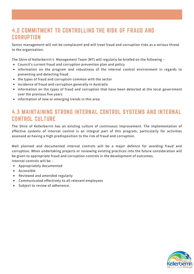### 4.2 COMMITMENT TO CONTROLLING THE RISK OF FRAUD AND **CORRUPTION**

Senior management will not be complacent and will treat fraud and corruption risks as a serious threat to the organisation.

The Shire of Kellerberrin's Management Team (MT) will regularly be briefed on the following –

- Council's current fraud and corruption prevention plan and policy
- information on the program and robustness of the internal control environment in regards to preventing and detecting fraud
- the types of fraud and corruption common with the sector
- incidence of fraud and corruption generally in Australia
- information on the types of fraud and corruption that have been detected at the local government over the previous five years
- information of new or emerging trends in this area.

#### 4.3 MAINTAINING STRONG INTERNAL CONTROL SYSTEMS AND INTERNAL CONTROL CULTURE

The Shire of Kellerberrin has an existing culture of continuous improvement. The implementation of effective systems of internal control is an integral part of this program, particularly for activities assessed as having a high predisposition to the risk of fraud and corruption.

Well planned and documented internal controls will be a major defence for avoiding fraud and corruption. When undertaking projects or reviewing existing practices into the future consideration will be given to appropriate fraud and corruption controls in the development of outcomes. Internal controls will be –

- Appropriately documented
- Accessible
- Reviewed and amended regularly
- Communicated effectively to all relevant employees
- Subject to review of adherence.

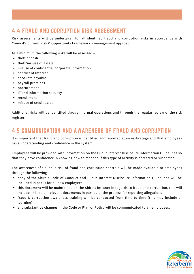### 4.4 FRAUD AND CORRUPTION RISK ASSESSMENT

Risk assessments will be undertaken for all identified fraud and corruption risks in accordance with Council's current Risk & Opportunity Framework's management approach.

As a minimum the following risks will be assessed –

- $\bullet$  theft of cash
- theft/misuse of assets
- misuse of confidential corporate information
- conflict of Interest
- accounts payable
- payroll practices
- procurement
- IT and information security
- recruitment
- misuse of credit cards.

Additional risks will be identified through normal operations and through the regular review of the risk register.

#### 4.5 COMMUNICATION AND AWARENESS OF FRAUD AND CORRUPTION

It is important that fraud and corruption is identified and reported at an early stage and that employees have understanding and confidence in the system.

Employees will be provided with information on the Public Interest Disclosure Information Guidelines so that they have confidence in knowing how to respond if this type of activity is detected or suspected.

The awareness of Councils risk of fraud and corruption controls will be made available to employees through the following –

- copy of the Shire's Code of Conduct and Public Interest Disclosure Information Guidelines will be included in packs for all new employees
- this document will be maintained on the Shire's intranet in regards to fraud and corruption, this will include links to all relevant documents in particular the process for reporting allegations
- fraud & corruption awareness training will be conducted from time to time (this may include elearning)
- any substantive changes in the Code or Plan or Policy will be communicated to all employees.

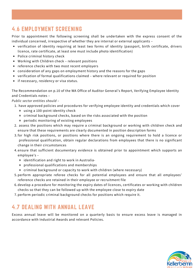### 4.6 EMPLOYMENT SCREENING

Prior to appointment the following screening shall be undertaken with the express consent of the individual concerned, irrespective of whether they are internal or external applicants –

- verification of identity requiring at least two forms of identity (passport, birth certificate, drivers licence, rate certificate, at least one must include photo identification)
- Police criminal history check
- Working with Children check relevant positions
- reference checks with two most recent employers
- consideration of any gaps on employment history and the reasons for the gaps
- verification of formal qualifications claimed where relevant or required for position
- if necessary, residency or visa status.

The Recommendation on p.10 of the WA Office of Auditor General's Report, Verifying Employee Identity and Credentials notes –

#### *Public sector entities should –*

- 1. have approved policies and procedures for verifying employee identity and credentials which cover
	- using a 100-point identity check
	- criminal background checks, based on the risks associated with the position
	- periodic monitoring of existing employees
- 2. assess the positions which may require a criminal background or working with children check and ensure that these requirements are clearly documented in position description forms
- 3.for high risk positions, or positions where there is an ongoing requirement to hold a licence or professional qualification, obtain regular declarations from employees that there is no significant change in their circumstances
- 4.ensure that sufficient documentary evidence is obtained prior to appointment which supports an employee's –
	- identification and right to work in Australia-
	- professional qualifications and memberships
	- criminal background or capacity to work with children (where necessary)
- 5.perform appropriate referee checks for all potential employees and ensure that all employees' reference checks are retained in their employee or recruitment file
- 6. develop a procedure for monitoring the expiry dates of licences, certificates or working with children checks so that they can be followed up with the employee close to expiry date
- 7. perform periodic criminal background checks for positions which require it.

### 4.7 DEALING WITH ANNUAL LEAVE

Excess annual leave will be monitored on a quarterly basis to ensure excess leave is managed in accordance with Industrial Awards and relevant Policies.

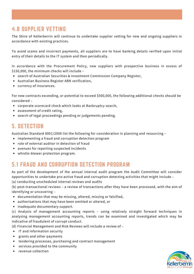### 4.8 SUPPLIER VETTING

The Shire of Kellerberrin will continue to undertake supplier vetting for new and ongoing suppliers in accordance with existing practices.

To avoid scams and incorrect payments, all suppliers are to have banking details verified upon initial entry of their details to the IT system and then periodically.

In accordance with the Procurement Policy, new suppliers with prospective business in excess of \$150,000, the minimum checks will include –

- search of Australian Securities & Investment Commission Company Register,
- Australian Business Register ABN verification,
- currency of insurances.

For new contracts exceeding, or potential to exceed \$500,000, the following additional checks should be considered –

- corporate scorecard check which looks at Bankruptcy search,
- assessment of credit rating,
- search of legal proceedings pending or judgements pending.

#### 5. DETECTION

Australian Standard 8001/2008 list the following for consideration in planning and resourcing –

- implementing a fraud and corruption detection program
- role of external auditor in detection of fraud
- avenues for reporting suspected incidents
- whistle-blower protection program.

### 5.1 FRAUD AND CORRUPTION DETECTION PROGRAM

As part of the development of the annual internal audit program the Audit Committee will consider opportunities to undertake pro-active fraud and corruption detecting activities that might include – (a) conducting unscheduled internal reviews and audits

(b) post-transactional reviews – a review of transactions after they have been processed, with the aim of identifying or uncovering –

- documentation that may be missing, altered, missing or falsified,
- authorisations that may have been omitted or altered, or
- inadequate documentary support.

(c) Analysis of management accounting reports – using relatively straight forward techniques in analysing management accounting reports, trends can be examined and investigated which may be indicative of fraudulent of corrupt conduct.

(d) Financial Management and Risk Reviews will include a review of –

- IT and information security
- grants and other payments
- tendering processes, purchasing and contract management
- services provided to the community
- revenue collection

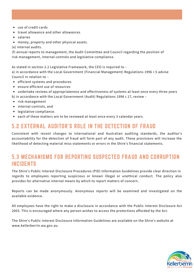- use of credit cards
- travel allowance and other allowances
- salaries
- money, property and other physical assets.
- (e) internal audits.

(f) annual reports to management, the Audit Committee and Council regarding the position of risk management, internal controls and legislative compliance.

As stated in section 2.2 Legislative Framework, the CEO is required to –

a) in accordance with the Local Government (Financial Management) Regulations 1996 r.5 advise Council in relation to –

- efficient systems and procedures
- ensure efficient use of resources
- undertake reviews of appropriateness and effectiveness of systems at least once every three years
- b) in accordance with the Local Government (Audit) Regulations 1996 r.17, review –
- risk management
- internal controls, and
- legislative compliance.
- each of these matters are to be reviewed at least once every 3 calendar years.

#### 5.2 EXTERNAL AUDITOR'S ROLE IN THE DETECTION OF FRAUD

Consistent with recent changes to international and Australian auditing standards, the auditor's accountability for the detection of fraud will form part of any audit. These provisions will increase the likelihood of detecting material miss-statements or errors in the Shire's financial statements.

#### 5.3 MECHANISMS FOR REPORTING SUSPECTED FRAUD AND CORRUPTION INCIDENTS

The Shire's Public Interest Disclosure Procedures (PID) Information Guidelines provide clear direction in regards to employees reporting suspicious or known illegal or unethical conduct. The policy also provides for alternative internal means by which to report matters of concern.

Reports can be made anonymously. Anonymous reports will be examined and investigated on the available evidence.

All employees have the right to make a disclosure in accordance with the Public Interest Disclosure Act 2003. This is encouraged where any person wishes to access the protections afforded by the Act.

The Shire's Public Interest Disclosure Information Guidelines are available on the Shire's website at www.kellerberrin.wa.gov.au.

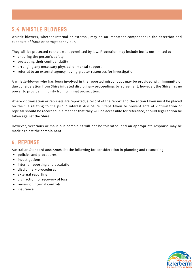### 5.4 WHISTLE BLOWERS

Whistle-blowers, whether internal or external, may be an important component in the detection and exposure of fraud or corrupt behaviour.

They will be protected to the extent permitted by law. Protection may include but is not limited to –

- ensuring the person's safety
- protecting their confidentiality
- arranging any necessary physical or mental support
- referral to an external agency having greater resources for investigation.

A whistle-blower who has been involved in the reported misconduct may be provided with immunity or due consideration from Shire initiated disciplinary proceedings by agreement, however, the Shire has no power to provide immunity from criminal prosecution.

Where victimisation or reprisals are reported, a record of the report and the action taken must be placed on the file relating to the public interest disclosure. Steps taken to prevent acts of victimisation or reprisal should be recorded in a manner that they will be accessible for reference, should legal action be taken against the Shire.

However, vexatious or malicious complaint will not be tolerated, and an appropriate response may be made against the complainant.

### 6. REPONSE

Australian Standard 8001/2008 list the following for consideration in planning and resourcing –

- policies and procedures
- investigations
- internal reporting and escalation
- disciplinary procedures
- external reporting
- civil action for recovery of loss
- review of internal controls
- insurance.

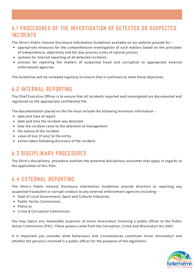### 6.1 PROCEDURES OF THE INVESTIGATION OF DETECTED OR SUSPECTED INCIDENTS

The Shire's Public Interest Disclosure Information Guidelines available on our website provide for –

- appropriate measures for the comprehensive investigation of such matters based on the principles of independence, objectivity and fair due process (rules of natural justice)
- systems for internal reporting of all detected incidents
- process for reporting the matters of suspected fraud and corruption to appropriate external enforcement agencies.

The Guidelines will be reviewed regularly to ensure that it continues to meet these objectives.

### 6.2 INTERNAL REPORTING

The Chief Executive Officer is to ensure that all incidents reported and investigated are documented and registered on the appropriate confidential file.

The documentation placed on the file must include the following minimum information –

- date and time of report
- date and time the incident was detected
- how the incident came to the attention of management
- the nature of the incident
- value of loss (if any) to the entity
- action taken following discovery of the incident.

#### 6.3 DISCIPLINARY PROCEDURES

The Shire's disciplinary procedure outlines the potential disciplinary outcomes that apply in regards to the application of this Plan.

### 6.4 EXTERNAL REPORTING

The Shire's Public Interest Disclosure Information Guidelines provide direction to reporting any suspected fraudulent or corrupt conduct to any external enforcement agencies including –

- Dept of Local Government, Sport and Cultural Industries,
- Public Sector Commission,
- Police or
- Crime & Corruption Commission.

You may report any reasonable suspicion of minor misconduct involving a public officer to the Public Sector Commission (PSC). These powers come from the Corruption, Crime and Misconduct Act 2003.

It is important you consider what behaviours and circumstances constitute minor misconduct and whether the person/s involved is a public officer for the purposes of the legislation.

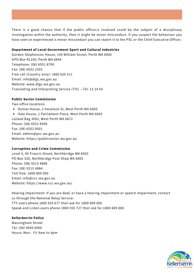There is a good chance that if the public officer/s involved could be the subject of a disciplinary investigation within the authority, then it might be minor misconduct. If you suspect the behaviour you have seen or experienced is minor misconduct you can report it to the PSC or the Chief Executive Officer.

#### **Department of Local Government Sport and Cultural Industries**

Gordon Stephenson House, 140 William Street, Perth WA 6000 GPO Box R1250, Perth WA 6844 Telephone: (08) 6551 8700 Fax: (08) 6552 1555 Free call (Country only): 1800 620 511 Email: info@dlgc.wa.gov.au Website: www.dlgc.wa.gov.au Translating and Interpreting Service (TIS) – Tel: 13 14 50

#### **Public Sector Commission**

Two office locations:

- Dumas House, 2 Havelock St, West Perth WA 6005
- Hale House, 1 Parliament Place, West Perth WA 6005 Locked Bag 3002, West Perth WA 6872 Phone: (08) 6552 8500 Fax: (08) 6552 8501 Email: admin@psc.wa.gov.au Website: https://publicsector.wa.gov.au

#### **Corruption and Crime Commission**

Level 5, 45 Francis Street, Northbridge WA 6003 PO Box 330, Northbridge Post Shop WA 6865 Phone: (08) 9215 4888 Fax: (08) 9215 4884 Toll-free: 1800 809 000 Email: info@ccc.wa.gov.au Website: https://www.ccc.wa.gov.au/

Hearing impairment: If you are deaf, or have a hearing impairment or speech impairment, contact us through the National Relay Service: TTY users phone 1800 555 677 then ask for 1800 809 000 Speak and Listen users phone 1800 555 727 then ask for 1800 809 000.

#### **Kellerberrin Police**

Massingham Street Tel: (08) 9045 6000 Hours: Mon - Fir 9am to 4pm

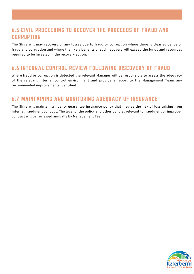#### 6.5 CIVIL PROCEEDING TO RECOVER THE PROCEEDS OF FRAUD AND **CORRUPTION**

The Shire will may recovery of any losses due to fraud or corruption where there is clear evidence of fraud and corruption and where the likely benefits of such recovery will exceed the funds and resources required to be invested in the recovery action.

#### 6.6 INTERNAL CONTROL REVIEW FOLLOWING DISCOVERY OF FRAUD

Where fraud or corruption is detected the relevant Manager will be responsible to assess the adequacy of the relevant internal control environment and provide a report to the Management Team any recommended improvements identified.

### 6.7 MAINTAINING AND MONITORING ADEQUACY OF INSURANCE

The Shire will maintain a fidelity guarantee insurance policy that insures the risk of loss arising from internal fraudulent conduct. The level of the policy and other policies relevant to fraudulent or improper conduct will be reviewed annually by Management Team.